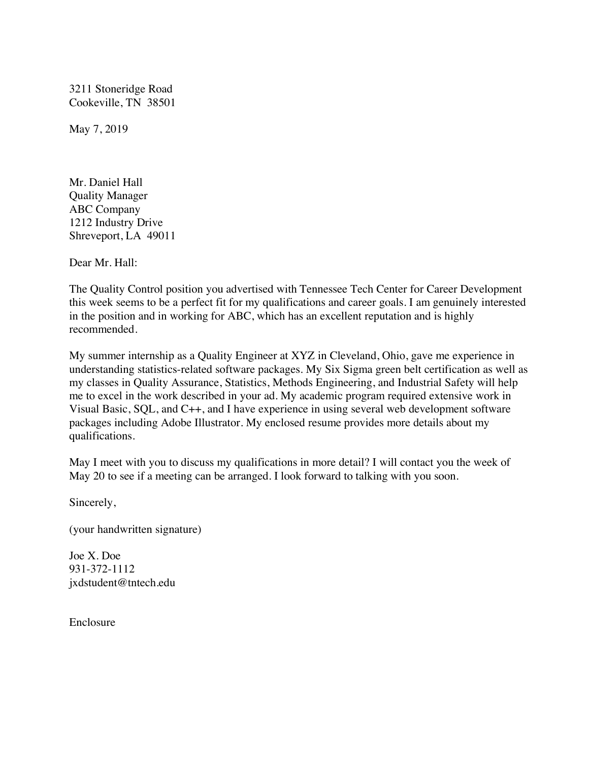3211 Stoneridge Road Cookeville, TN 38501

May 7, 2019

Mr. Daniel Hall Quality Manager ABC Company 1212 Industry Drive Shreveport, LA 49011

Dear Mr. Hall:

The Quality Control position you advertised with Tennessee Tech Center for Career Development this week seems to be a perfect fit for my qualifications and career goals. I am genuinely interested in the position and in working for ABC, which has an excellent reputation and is highly recommended.

My summer internship as a Quality Engineer at XYZ in Cleveland, Ohio, gave me experience in understanding statistics-related software packages. My Six Sigma green belt certification as well as my classes in Quality Assurance, Statistics, Methods Engineering, and Industrial Safety will help me to excel in the work described in your ad. My academic program required extensive work in Visual Basic, SQL, and C++, and I have experience in using several web development software packages including Adobe Illustrator. My enclosed resume provides more details about my qualifications.

May I meet with you to discuss my qualifications in more detail? I will contact you the week of May 20 to see if a meeting can be arranged. I look forward to talking with you soon.

Sincerely,

(your handwritten signature)

Joe X. Doe 931-372-1112 jxdstudent@tntech.edu

Enclosure